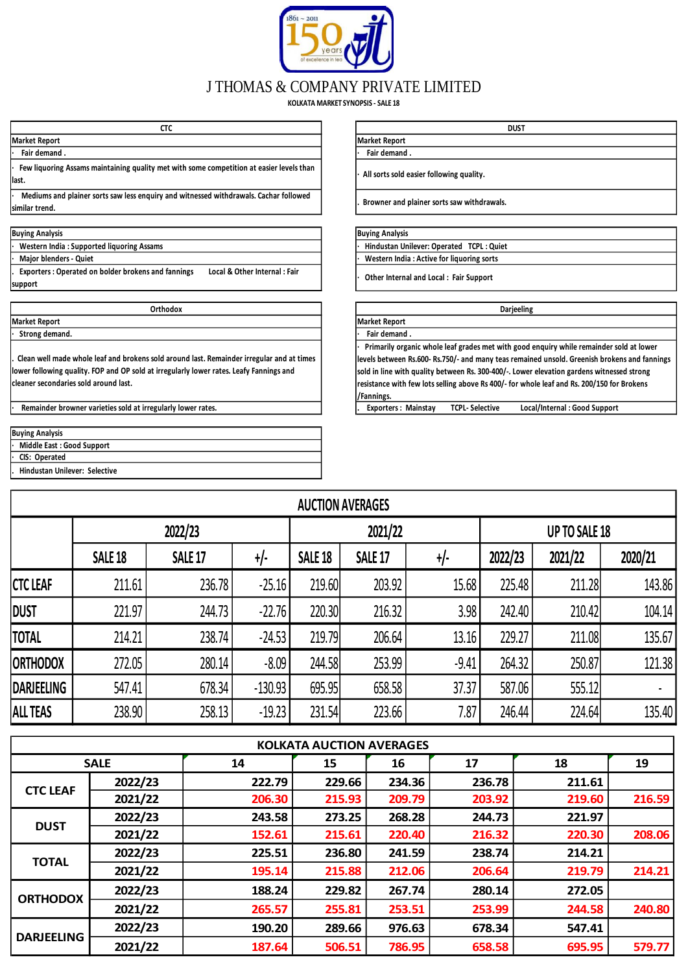

## J THOMAS & COMPANY PRIVATE LIMITED

**KOLKATA MARKET SYNOPSIS - SALE 18**

| -----<br>៶៲៶         |                    |
|----------------------|--------------------|
| <b>Market Report</b> | Market<br>. Report |
| Eair domand<br>٠.    | Fair domanc        |

**· Few liquoring Assams maintaining quality met with some competition at easier levels than last.** *all sorts soluring Assams manitalizing quality.* **<b>***laster competition at easier levels than l l l l l l l l l l l l l l l l l l l l* 

**· Mediums and plainer sorts saw less enquiry and witnessed withdrawals. Cachar followed similar trend.**

| <b>Buying Analysis</b> |
|------------------------|
|                        |

**· Western India : Supported liquoring Assams**

**· Major blenders - Quiet**

**. Exporters : Operated on bolder brokens and fannings Local & Other Internal : Fair support** 

**Market Report Market Report · Strong demand.** 

**. Clean well made whole leaf and brokens sold around last. Remainder irregular and at times lower following quality. FOP and OP sold at irregularly lower rates. Leafy Fannings and cleaner secondaries sold around last.**

**Remainder browner varieties sold at irregularly lower rates.** 

| <b>Buying Analysis</b>          |
|---------------------------------|
| · Middle East: Good Support     |
| · CIS: Operated                 |
| . Hindustan Unilever: Selective |

**· Fair demand . · Fair demand . CTC DUST**

**. Browner and plainer sorts saw withdrawals.**

## **Buying Analysis Buying Analysis**

**· Hindustan Unilever: Operated TCPL : Quiet · Western India : Active for liquoring sorts**

**· Other Internal and Local : Fair Support** 

| Orthodox                                           | <b>Darjeeling</b>                                                                            |
|----------------------------------------------------|----------------------------------------------------------------------------------------------|
|                                                    | <b>Market Report</b>                                                                         |
|                                                    | Fair demand.                                                                                 |
|                                                    | Primarily organic whole leaf grades met with good enquiry while remainder sold at lower      |
| sold around last. Remainder irregular and at times | levels between Rs.600- Rs.750/- and many teas remained unsold. Greenish brokens and fannings |
| t irregularly lower rates. Leafy Fannings and      | sold in line with quality between Rs. 300-400/-. Lower elevation gardens witnessed strong    |
|                                                    | resistance with few lots selling above Rs 400/- for whole leaf and Rs. 200/150 for Brokens   |
|                                                    | /Fannings.                                                                                   |
| egularly lower rates.                              | Local/Internal: Good Support<br><b>Exporters: Mainstay</b><br><b>TCPL-Selective</b>          |

|                   | <b>AUCTION AVERAGES</b> |                |           |                                                 |         |         |                      |         |         |  |  |  |  |  |
|-------------------|-------------------------|----------------|-----------|-------------------------------------------------|---------|---------|----------------------|---------|---------|--|--|--|--|--|
|                   |                         | 2022/23        |           |                                                 | 2021/22 |         | <b>UP TO SALE 18</b> |         |         |  |  |  |  |  |
|                   | <b>SALE 18</b>          | <b>SALE 17</b> | $+/-$     | +/-<br>SALE <sub>18</sub><br>SALE <sub>17</sub> |         |         | 2022/23              | 2021/22 | 2020/21 |  |  |  |  |  |
| <b>CTC LEAF</b>   | 211.61                  | 236.78         | $-25.16$  | 219.60                                          | 203.92  | 15.68   | 225.48               | 211.28  | 143.86  |  |  |  |  |  |
| <b>DUST</b>       | 221.97                  | 244.73         | $-22.76$  | 220.30                                          | 216.32  | 3.98    | 242.40               | 210.42  | 104.14  |  |  |  |  |  |
| <b>TOTAL</b>      | 214.21                  | 238.74         | $-24.53$  | 219.79                                          | 206.64  | 13.16   | 229.27               | 211.08  | 135.67  |  |  |  |  |  |
| <b>ORTHODOX</b>   | 272.05                  | 280.14         | $-8.09$   | 244.58                                          | 253.99  | $-9.41$ | 264.32               | 250.87  | 121.38  |  |  |  |  |  |
| <b>DARJEELING</b> | 547.41                  | 678.34         | $-130.93$ | 695.95                                          | 658.58  | 37.37   | 587.06               | 555.12  |         |  |  |  |  |  |
| <b>ALL TEAS</b>   | 238.90                  | 258.13         | $-19.23$  | 231.54                                          | 223.66  | 7.87    | 246.44               | 224.64  | 135.40  |  |  |  |  |  |

|                   |             |        | <b>KOLKATA AUCTION AVERAGES</b> |        |        |        |        |
|-------------------|-------------|--------|---------------------------------|--------|--------|--------|--------|
|                   | <b>SALE</b> | 14     | 15                              | 16     | 17     | 18     | 19     |
|                   | 2022/23     | 222.79 | 229.66                          | 234.36 | 236.78 | 211.61 |        |
| <b>CTC LEAF</b>   | 2021/22     | 206.30 | 215.93                          | 209.79 | 203.92 | 219.60 | 216.59 |
| <b>DUST</b>       | 2022/23     | 243.58 | 273.25                          | 268.28 | 244.73 | 221.97 |        |
|                   | 2021/22     | 152.61 | 215.61                          | 220.40 | 216.32 | 220.30 | 208.06 |
|                   | 2022/23     | 225.51 | 236.80                          | 241.59 | 238.74 | 214.21 |        |
| <b>TOTAL</b>      | 2021/22     | 195.14 | 215.88                          | 212.06 | 206.64 | 219.79 | 214.21 |
|                   | 2022/23     | 188.24 | 229.82                          | 267.74 | 280.14 | 272.05 |        |
| <b>ORTHODOX</b>   | 2021/22     | 265.57 | 255.81                          | 253.51 | 253.99 | 244.58 | 240.80 |
| <b>DARJEELING</b> | 2022/23     | 190.20 | 289.66                          | 976.63 | 678.34 | 547.41 |        |
|                   | 2021/22     | 187.64 | 506.51                          | 786.95 | 658.58 | 695.95 | 579.77 |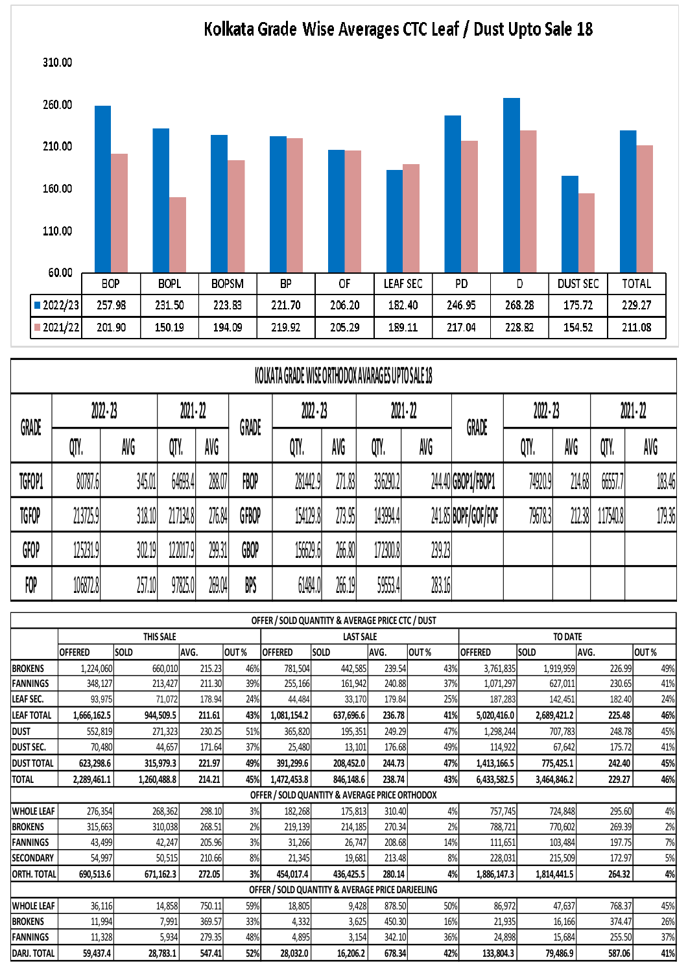

## Kolkata Grade Wise Averages CTC Leaf / Dust Upto Sale 18

|              | KOLKATA GRADE WISE ORTHODOX AVARAGES UPTO SALE 18 |             |             |        |       |             |        |             |        |                     |             |        |           |        |
|--------------|---------------------------------------------------|-------------|-------------|--------|-------|-------------|--------|-------------|--------|---------------------|-------------|--------|-----------|--------|
| <b>GRADE</b> |                                                   | $2022 - 23$ | $2021 - 22$ |        | GRADE | $2022 - 23$ |        | $2021 - 22$ |        | GRADE               | $2022 - 23$ |        | 2021 - 22 |        |
|              | QTY.                                              | AVG         | QTY.        | AVG    |       | QTY.        | AVG    | QTY.        | AVG    |                     | QTY.        | AVG    | QTY.      | AVG    |
| TGFOP1       | 80787.6                                           | 345.01      | 64693.4     | 288.07 | FBOP  | 281442.9    | 271.83 | 336290.2    |        | 244.40 GBOP1/FBOP1  | 74920.9     | 214.68 | 66557.7   | 183.46 |
| <b>TGFOP</b> | 213725.9                                          | 318.10      | 217134.8    | 276.84 | GFBOP | 154129.8    | 273.95 | 143994.4    |        | 241.85 BOPF/GOF/FOF | 79678.3     | 212.38 | 117540.8  | 179.36 |
| GFOP         | 125231.9                                          | 302.19      | 122017.9    | 299.31 | GBOP  | 156629.6    | 266.80 | 172300.8    | 239.23 |                     |             |        |           |        |
| FOP          | 106872.8                                          | 257.10      | 97825.0     | 269.04 | BPS   | 61484.0     | 266.19 | 59553.4     | 283.16 |                     |             |        |           |        |

 $\overline{\phantom{a}}$ 

|                    |                |             |        |      |                | OFFER / SOLD QUANTITY & AVERAGE PRICE CTC / DUST |                       |        |                |                |        |      |
|--------------------|----------------|-------------|--------|------|----------------|--------------------------------------------------|-----------------------|--------|----------------|----------------|--------|------|
|                    |                | THIS SALE   |        |      |                | <b>LAST SALE</b>                                 |                       |        |                | <b>TO DATE</b> |        |      |
|                    | <b>OFFERED</b> | SOLD        | AVG.   | OUT% | <b>OFFERED</b> | SOLD                                             | AVG.                  | OUT%   | <b>OFFERED</b> | <b>SOLD</b>    | AVG.   | OUT% |
| <b>BROKENS</b>     | 1,224,060      | 660,010     | 215.23 | 46%  | 781,504        | 442,585                                          | 239.54                | 43%    | 3,761,835      | 1,919,959      | 226.99 | 49%  |
| <b>FANNINGS</b>    | 348,127        | 213,427     | 211.30 | 39%  | 255,166        | 161,942                                          | 240.88                | 37%    | 1,071,297      | 627,011        | 230.65 | 41%  |
| LEAF SEC.          | 93,975         | 71,072      | 178.94 | 24%  | 44,484         | 33,170                                           | 179.84                | 25%    | 187,283        | 142,451        | 182.40 | 24%  |
| <b>LEAF TOTAL</b>  | 1,666,162.5    | 944,509.5   | 211.61 | 43%  | 1,081,154.2    | 637,696.6                                        | 236.78                | 41%    | 5,020,416.0    | 2,689,421.2    | 225.48 | 46%  |
| <b>DUST</b>        | 552,819        | 271,323     | 230.25 | 51%  | 365,820        | 195,351                                          | 249.29                | 47%    | 1,298,244      | 707,783        | 248.78 | 45%  |
| DUST SEC.          | 70,480         | 44,657      | 171.64 | 37%  | 25,480         | 13,101                                           | 176.68                | 49%    | 114,922        | 67,642         | 175.72 | 41%  |
| <b>DUST TOTAL</b>  | 623,298.6      | 315,979.3   | 221.97 | 49%  | 391,299.6      | 208,452.0                                        | 244.73                | 47%    | 1,413,166.5    | 775,425.1      | 242.40 | 45%  |
| <b>TOTAL</b>       | 2,289,461.1    | 1,260,488.8 | 214.21 | 45%  | 1,472,453.8    | 846,148.6                                        | 238.74                | 43%    | 6,433,582.5    | 3,464,846.2    | 229.27 | 46%  |
|                    |                |             |        |      |                | OFFER / SOLD QUANTITY & AVERAGE PRICE ORTHODOX   |                       |        |                |                |        |      |
| <b>WHOLE LEAF</b>  | 276,354        | 268,362     | 298.10 | 3%   | 182,268        | 175,813                                          | 310.40                | 4%     | 757,745        | 724,848        | 295.60 | 4%   |
| <b>BROKENS</b>     | 315,663        | 310,038     | 268.51 | 2%   | 219,139        | 214,185                                          | 270.34                | 2%     | 788,721        | 770,602        | 269.39 | 2%   |
| <b>FANNINGS</b>    | 43,499         | 42,247      | 205.96 | 3%   | 31,266         | 26,747                                           | 208.68                | 14%    | 111,651        | 103.484        | 197.75 | 7%   |
| <b>SECONDARY</b>   | 54,997         | 50,515      | 210.66 | 8%   | 21,345         | 19,681                                           | 213.48                | 8%     | 228,031        | 215,509        | 172.97 | 5%   |
| <b>ORTH. TOTAL</b> | 690,513.6      | 671,162.3   | 272.05 | 3%   | 454,017.4      | 436,425.5                                        | 280.14                | 4%     | 1,886,147.3    | 1,814,441.5    | 264.32 | 4%   |
|                    |                |             |        |      |                | OFFER / SOLD QUANTITY & AVERAGE PRICE DARJEELING |                       |        |                |                |        |      |
| <b>WHOLE LEAF</b>  | 36,116         | 14,858      | 750.11 | 59%  | 18,805         | 9,428                                            | 878.50                | 50%    | 86,972         | 47,637         | 768.37 | 45%  |
| <b>BROKENS</b>     | 11,994         | 7,991       | 369.57 | 33%  | 4,332          | 3,625                                            | 450.30                | 16%    | 21,935         | 16,166         | 374.47 | 26%  |
| <b>FANNINGS</b>    | 11,328         | 5,934       | 279.35 | 48%  | 4,895          | 3,154                                            | 342.10                | 36%    | 24,898         | 15,684         | 255.50 | 37%  |
| <b>DARJ. TOTAL</b> | 59,437.4       | 28,783.1    | 547.41 | 52%  | 28,032.0       | 16,206.2                                         | 133,804.3<br>79,486.9 | 587.06 | 41%            |                |        |      |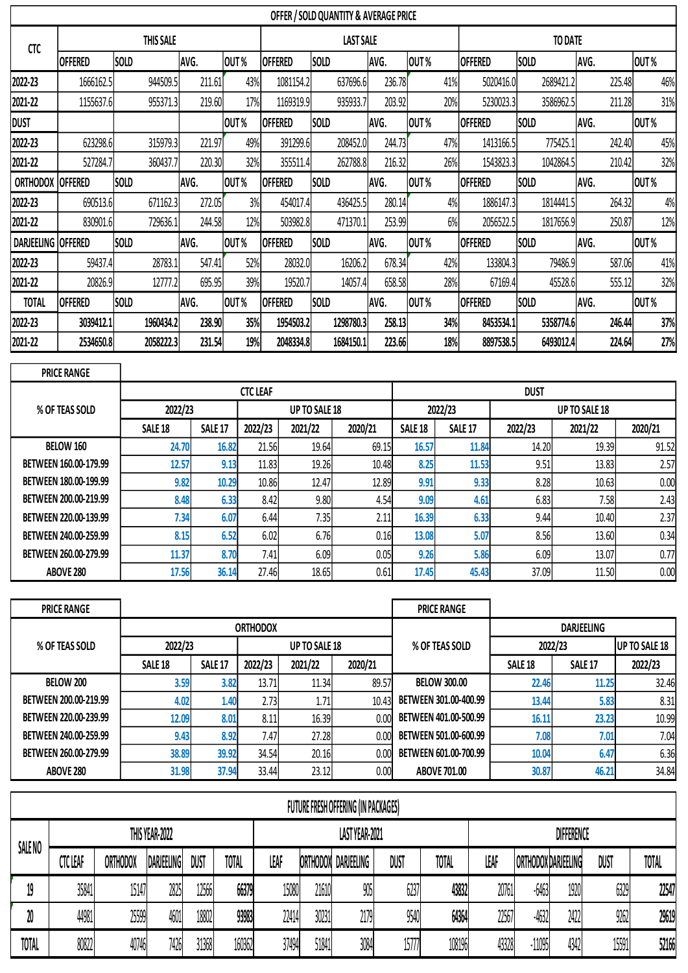|                    | OFFER / SOLD QUANTITY & AVERAGE PRICE |             |        |      |                |                  |        |      |                |             |        |      |  |  |
|--------------------|---------------------------------------|-------------|--------|------|----------------|------------------|--------|------|----------------|-------------|--------|------|--|--|
| <b>CTC</b>         |                                       | THIS SALE   |        |      |                | <b>LAST SALE</b> |        |      | <b>TO DATE</b> |             |        |      |  |  |
|                    | <b>OFFERED</b>                        | <b>SOLD</b> | AVG.   | OUT% | <b>OFFERED</b> | SOLD             | AVG.   | OUT% | <b>OFFERED</b> | <b>SOLD</b> | AVG.   | OUT% |  |  |
| 2022-23            | 1666162.5                             | 944509.5    | 211.61 | 43%  | 1081154.2      | 637696.6         | 236.78 | 41%  | 5020416.0      | 2689421.2   | 225.48 | 46%  |  |  |
| 2021-22            | 1155637.6                             | 955371.3    | 219.60 | 17%  | 1169319.9      | 935933.7         | 203.92 | 20%  | 5230023.3      | 3586962.5   | 211.28 | 31%  |  |  |
| <b>DUST</b>        |                                       |             |        | OUT% | <b>OFFERED</b> | <b>SOLD</b>      | AVG.   | OUT% | <b>OFFERED</b> | <b>SOLD</b> | AVG.   | OUT% |  |  |
| 2022-23            | 623298.6                              | 315979.3    | 221.97 | 49%  | 391299.6       | 208452.0         | 244.73 | 47%  | 1413166.5      | 775425.1    | 242.40 | 45%  |  |  |
| 2021-22            | 527284.7                              | 360437.7    | 220.30 | 32%  | 355511.4       | 262788.8         | 216.32 | 26%  | 1543823.3      | 1042864.5   | 210.42 | 32%  |  |  |
| <b>ORTHODOX</b>    | <b>OFFERED</b>                        | <b>SOLD</b> | AVG.   | OUT% | <b>OFFERED</b> | <b>SOLD</b>      | AVG.   | OUT% | <b>OFFERED</b> | <b>SOLD</b> | AVG.   | OUT% |  |  |
| 2022-23            | 690513.6                              | 671162.3    | 272.05 | 3%   | 454017.4       | 436425.5         | 280.14 | 4%   | 1886147.3      | 1814441.5   | 264.32 | 4%   |  |  |
| 2021-22            | 830901.6                              | 729636.1    | 244.58 | 12%  | 503982.8       | 471370.1         | 253.99 | 6%   | 2056522.5      | 1817656.9   | 250.87 | 12%  |  |  |
| DARJEELING OFFERED |                                       | <b>SOLD</b> | AVG.   | OUT% | <b>OFFERED</b> | <b>SOLD</b>      | AVG.   | OUT% | <b>OFFERED</b> | <b>SOLD</b> | AVG.   | OUT% |  |  |
| 2022-23            | 59437.4                               | 28783.1     | 547.41 | 52%  | 28032.0        | 16206.2          | 678.34 | 42%  | 133804.3       | 79486.9     | 587.06 | 41%  |  |  |
| 2021-22            | 20826.9                               | 12777.2     | 695.95 | 39%  | 19520.7        | 14057.4          | 658.58 | 28%  | 67169.4        | 45528.6     | 555.12 | 32%  |  |  |
| <b>TOTAL</b>       | <b>OFFERED</b>                        | <b>SOLD</b> | AVG.   | OUT% | <b>OFFERED</b> | <b>SOLD</b>      | AVG.   | OUT% | <b>OFFERED</b> | <b>SOLD</b> | AVG.   | OUT% |  |  |
| 2022-23            | 3039412.1                             | 1960434.2   | 238.90 | 35%  | 1954503.2      | 1298780.3        | 258.13 | 34%  | 8453534.1      | 5358774.6   | 246.44 | 37%  |  |  |
| 2021-22            | 2534650.8                             | 2058222.3   | 231.54 | 19%  | 2048334.8      | 1684150.1        | 223.66 | 18%  | 8897538.5      | 6493012.4   | 224.64 | 27%  |  |  |

| <b>PRICE RANGE</b>    |                    |                |                 |                      |         |                |                |         |                      |         |  |  |
|-----------------------|--------------------|----------------|-----------------|----------------------|---------|----------------|----------------|---------|----------------------|---------|--|--|
|                       |                    |                | <b>CTC LEAF</b> |                      |         | <b>DUST</b>    |                |         |                      |         |  |  |
| % OF TEAS SOLD        | 2022/23            |                |                 | <b>UP TO SALE 18</b> |         |                | 2022/23        |         | <b>UP TO SALE 18</b> |         |  |  |
|                       | SALE <sub>18</sub> | <b>SALE 17</b> | 2022/23         | 2021/22              | 2020/21 | <b>SALE 18</b> | <b>SALE 17</b> | 2022/23 | 2021/22              | 2020/21 |  |  |
| BELOW 160             | 24.70              | 16.82          | 21.56           | 19.64                | 69.15   | 16.57          | 11.84          | 14.20   | 19.39                | 91.52   |  |  |
| BETWEEN 160.00-179.99 | 12.57              | 9.13           | 11.83           | 19.26                | 10.48   | 8.25           | 11.53          | 9.51    | 13.83                | 2.57    |  |  |
| BETWEEN 180.00-199.99 | 9.82               | 10.29          | 10.86           | 12.47                | 12.89   | 9.91           | 9.33           | 8.28    | 10.63                | 0.00    |  |  |
| BETWEEN 200.00-219.99 | 8.48               | 6.33           | 8.42            | 9.80                 | 4.54    | 9.09           | 4.61           | 6.83    | 7.58                 | 2.43    |  |  |
| BETWEEN 220.00-139.99 | 7.34               | 6.07           | 6.44            | 7.35                 | 2.11    | 16.39          | 6.33           | 9.44    | 10.40                | 2.37    |  |  |
| BETWEEN 240.00-259.99 | 8.15               | 6.52           | 6.02            | 6.76                 | 0.16    | 13.08          | 5.07           | 8.56    | 13.60                | 0.34    |  |  |
| BETWEEN 260.00-279.99 | 11.37<br>8.70      |                | 7.41            | 6.09                 | 0.05    | 9.26           | 5.86           | 6.09    | 13.07                | 0.77    |  |  |
| ABOVE 280             | 17.56              | 36.14          | 27.46           | 18.65                | 0.61    | 17.45          | 45.43          | 37.09   | 11.50                | 0.00    |  |  |

| <b>PRICE RANGE</b>    |                    |                |                 |               |         | <b>PRICE RANGE</b>    |                   |                      |         |  |  |
|-----------------------|--------------------|----------------|-----------------|---------------|---------|-----------------------|-------------------|----------------------|---------|--|--|
|                       |                    |                | <b>ORTHODOX</b> |               |         |                       | <b>DARJEELING</b> |                      |         |  |  |
| % OF TEAS SOLD        | 2022/23            |                |                 | UP TO SALE 18 |         | % OF TEAS SOLD        | 2022/23           | <b>UP TO SALE 18</b> |         |  |  |
|                       | SALE <sub>18</sub> | <b>SALE 17</b> | 2022/23         | 2021/22       | 2020/21 |                       | <b>SALE 18</b>    | SALE <sub>17</sub>   | 2022/23 |  |  |
| <b>BELOW 200</b>      | 3.59               | 3.82           | 13.71           | 11.34         | 89.57   | <b>BELOW 300.00</b>   | 22.46             | 11.25                | 32.46   |  |  |
| BETWEEN 200.00-219.99 | 4.02               | 1.40           | 2.73            | 1.71          | 10.43   | BETWEEN 301.00-400.99 | 13.44             | 5.83                 | 8.31    |  |  |
| BETWEEN 220.00-239.99 | 12.09              | 8.01           | 8.11            | 16.39         | 0.00    | BETWEEN 401.00-500.99 | 16.11             | 23.23                | 10.99   |  |  |
| BETWEEN 240.00-259.99 | 9.43               | 8.92           | 7.47            | 27.28         | 0.00    | BETWEEN 501.00-600.99 | 7.08              | 7.01                 | 7.04    |  |  |
| BETWEEN 260.00-279.99 | 38.89              | 39.92          | 34.54           | 20.16         | 0.00    | BETWEEN 601.00-700.99 | 10.04             | 6.47                 | 6.36    |  |  |
| ABOVE 280             | 31.98              | 37.94          | 33.44           | 23.12         | 0.00    | <b>ABOVE 701.00</b>   | 30.87             | 46.21                | 34.84   |  |  |

|              | FUTURE FRESH OFFERING (IN PACKAGES) |          |                   |       |              |       |          |                |       |        |                   |                     |      |       |              |
|--------------|-------------------------------------|----------|-------------------|-------|--------------|-------|----------|----------------|-------|--------|-------------------|---------------------|------|-------|--------------|
|              |                                     |          | THIS YEAR-2022    |       |              |       |          | LAST YEAR-2021 |       |        | <b>DIFFERENCE</b> |                     |      |       |              |
| SALE NO      | <b>CTC LEAR</b>                     | orthodox | <b>DARJEELING</b> | DUST  | <b>TOTAL</b> | LEAF  | orthodox | DARJEELING     | DUST  | TOTAL  | LEAT              | ORTHODOX DARJEELING |      | DUST  | <b>TOTAL</b> |
| 19           | 35841                               | 15147    | 2825              | 12566 | 66379        | 15080 | 21610    | 905            | 6237  | 43832  | 20761             | $-6463$             | 1920 | 6329  | 22547        |
| 20           | 44981                               | 25599    | 4601              | 18802 | 93983        | 22414 | 30231    | 2179           | 9540  | 64364  | 22567             | $-4632$             | 2422 | 9262  | 29619        |
| <b>TOTAL</b> | 80822                               | 40746    | 7426              | 31368 | 160362       | 37494 | 51841    | 3084           | 15777 | 108196 | 43328             | -11095              | 4342 | 15591 | 52166        |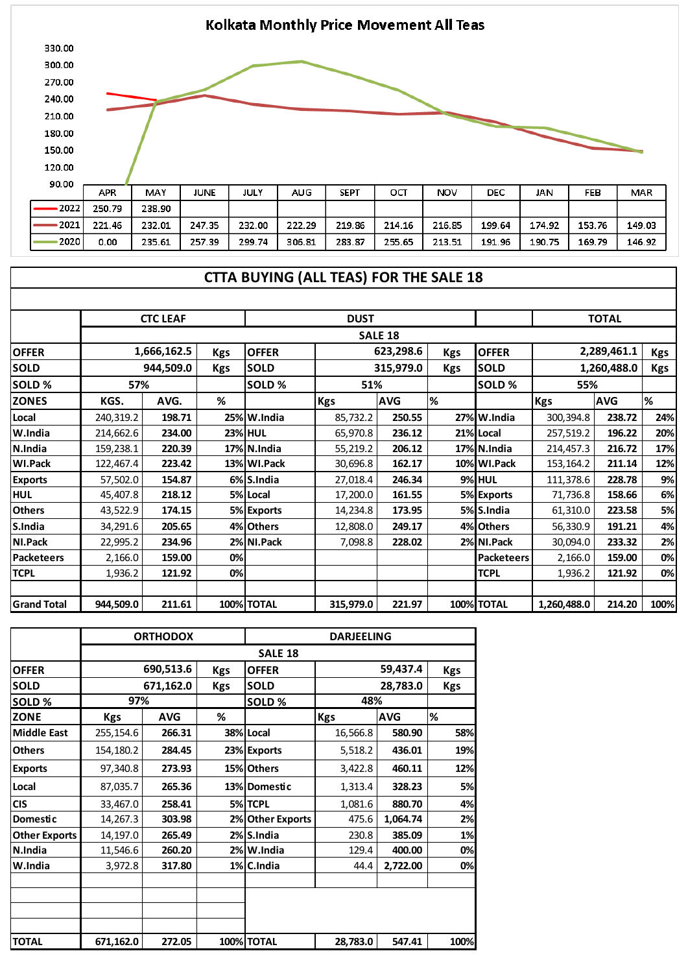

## **CTTA BUYING (ALL TEAS) FOR THE SALE 18**

|                    |                           | <b>CTC LEAF</b> |              | <b>DUST</b>    |                |            |              | <b>TOTAL</b>      |             |            |      |
|--------------------|---------------------------|-----------------|--------------|----------------|----------------|------------|--------------|-------------------|-------------|------------|------|
|                    |                           |                 |              |                | <b>SALE 18</b> |            |              |                   |             |            |      |
| <b>OFFER</b>       | 1,666,162.5<br><b>Kgs</b> |                 | <b>OFFER</b> | 623,298.6      |                | <b>Kgs</b> | <b>OFFER</b> | 2,289,461.1       |             | <b>Kgs</b> |      |
| <b>SOLD</b>        | 944,509.0<br><b>Kgs</b>   |                 | <b>SOLD</b>  | 315,979.0      |                | <b>Kgs</b> | <b>SOLD</b>  | 1,260,488.0       |             | <b>Kgs</b> |      |
| <b>SOLD %</b>      | 57%                       |                 |              | <b>SOLD %</b>  | 51%            |            |              | SOLD%             | 55%         |            |      |
| <b>ZONES</b>       | KGS.                      | AVG.            | %            |                | <b>Kgs</b>     | <b>AVG</b> | l%           |                   | <b>Kgs</b>  | <b>AVG</b> | %    |
| Local              | 240,319.2                 | 198.71          |              | 25% W.India    | 85,732.2       | 250.55     |              | 27% W.India       | 300,394.8   | 238.72     | 24%  |
| W.India            | 214,662.6                 | 234.00          |              | <b>23% HUL</b> | 65,970.8       | 236.12     |              | 21% Local         | 257,519.2   | 196.22     | 20%  |
| N.India            | 159,238.1                 | 220.39          |              | 17% N.India    | 55,219.2       | 206.12     |              | 17% N.India       | 214,457.3   | 216.72     | 17%  |
| <b>WI.Pack</b>     | 122,467.4                 | 223.42          |              | 13% WI.Pack    | 30,696.8       | 162.17     |              | 10% WI.Pack       | 153,164.2   | 211.14     | 12%  |
| <b>Exports</b>     | 57,502.0                  | 154.87          |              | 6% S.India     | 27,018.4       | 246.34     |              | <b>9% HUL</b>     | 111,378.6   | 228.78     | 9%   |
| <b>HUL</b>         | 45,407.8                  | 218.12          |              | 5% Local       | 17,200.0       | 161.55     |              | 5% Exports        | 71,736.8    | 158.66     | 6%   |
| <b>Others</b>      | 43,522.9                  | 174.15          |              | 5% Exports     | 14,234.8       | 173.95     |              | 5% S.India        | 61,310.0    | 223.58     | 5%   |
| S.India            | 34,291.6                  | 205.65          |              | 4% Others      | 12,808.0       | 249.17     |              | 4% Others         | 56,330.9    | 191.21     | 4%   |
| NI.Pack            | 22,995.2                  | 234.96          |              | 2% NI.Pack     | 7,098.8        | 228.02     |              | 2% NI.Pack        | 30,094.0    | 233.32     | 2%   |
| <b>Packeteers</b>  | 2,166.0                   | 159.00          | 0%           |                |                |            |              | <b>Packeteers</b> | 2,166.0     | 159.00     | 0%   |
| <b>TCPL</b>        | 1,936.2                   | 121.92          | 0%           |                |                |            |              | <b>TCPL</b>       | 1,936.2     | 121.92     | 0%   |
|                    |                           |                 |              |                |                |            |              |                   |             |            |      |
| <b>Grand Total</b> | 944,509.0                 | 211.61          |              | 100% TOTAL     | 315,979.0      | 221.97     |              | <b>100% TOTAL</b> | 1,260,488.0 | 214.20     | 100% |

|                      |            | <b>ORTHODOX</b> |            | <b>DARJEELING</b> |            |            |            |  |  |
|----------------------|------------|-----------------|------------|-------------------|------------|------------|------------|--|--|
|                      |            |                 |            | <b>SALE 18</b>    |            |            |            |  |  |
| <b>OFFER</b>         |            | 690,513.6       | <b>Kgs</b> | <b>OFFER</b>      |            | 59,437.4   | <b>Kgs</b> |  |  |
| <b>SOLD</b>          |            | 671,162.0       | <b>Kgs</b> | <b>SOLD</b>       |            | 28,783.0   | <b>Kgs</b> |  |  |
| SOLD %               | 97%        |                 |            | SOLD %            | 48%        |            |            |  |  |
| <b>ZONE</b>          | <b>Kgs</b> | <b>AVG</b>      | ℅          |                   | <b>Kgs</b> | <b>AVG</b> | %          |  |  |
| <b>Middle East</b>   | 255,154.6  | 266.31          |            | 38% Local         | 16,566.8   | 580.90     | 58%        |  |  |
| <b>Others</b>        | 154,180.2  | 284.45          |            | 23% Exports       | 5,518.2    | 436.01     | 19%        |  |  |
| <b>Exports</b>       | 97,340.8   | 273.93          |            | 15% Others        | 3,422.8    | 460.11     | 12%        |  |  |
| Local                | 87,035.7   | 265.36          |            | 13% Domestic      | 1,313.4    | 328.23     | 5%         |  |  |
| <b>CIS</b>           | 33,467.0   | 258.41          |            | 5%TCPL            | 1,081.6    | 880.70     | 4%         |  |  |
| <b>Domestic</b>      | 14,267.3   | 303.98          |            | 2% Other Exports  | 475.6      | 1,064.74   | 2%         |  |  |
| <b>Other Exports</b> | 14,197.0   | 265.49          |            | 2% S.India        | 230.8      | 385.09     | 1%         |  |  |
| N.India              | 11,546.6   | 260.20          |            | 2% W.India        | 129.4      | 400.00     | 0%         |  |  |
| W.India              | 3,972.8    | 317.80          |            | 1% C.India        | 44.4       | 2,722.00   | 0%         |  |  |
|                      |            |                 |            |                   |            |            |            |  |  |
|                      |            |                 |            |                   |            |            |            |  |  |
|                      |            |                 |            |                   |            |            |            |  |  |
| <b>TOTAL</b>         | 671,162.0  | 272.05          |            | 100% TOTAL        | 28,783.0   | 547.41     | 100%       |  |  |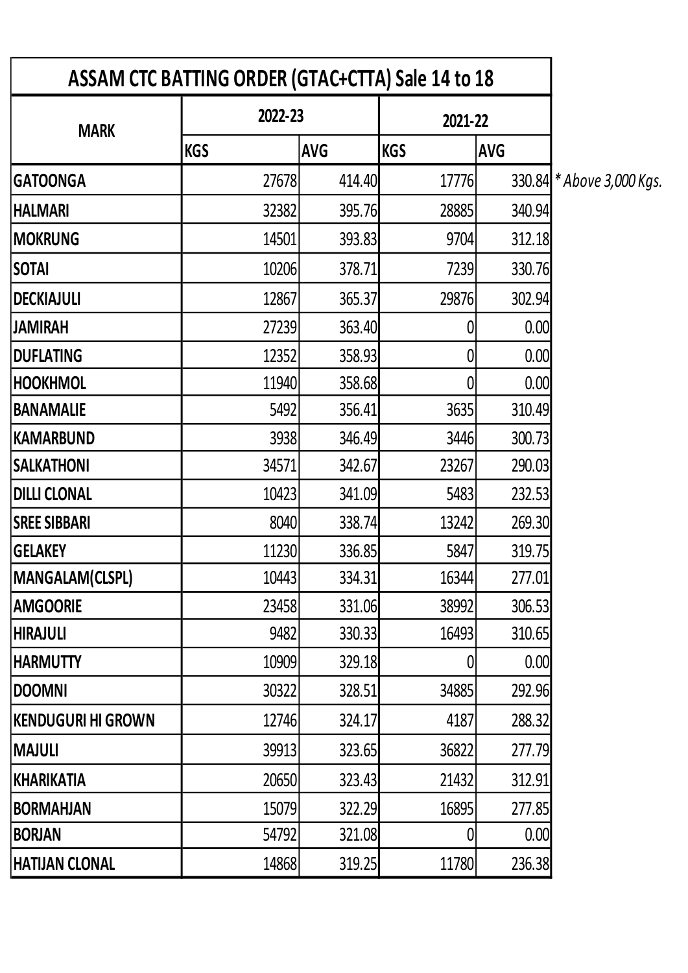| ASSAM CTC BATTING ORDER (GTAC+CTTA) Sale 14 to 18 |            |            |            |            |                           |
|---------------------------------------------------|------------|------------|------------|------------|---------------------------|
| <b>MARK</b>                                       | 2022-23    |            | 2021-22    |            |                           |
|                                                   | <b>KGS</b> | <b>AVG</b> | <b>KGS</b> | <b>AVG</b> |                           |
| <b>GATOONGA</b>                                   | 27678      | 414.40     | 17776      |            | 330.84 * Above 3,000 Kgs. |
| <b>HALMARI</b>                                    | 32382      | 395.76     | 28885      | 340.94     |                           |
| <b>MOKRUNG</b>                                    | 14501      | 393.83     | 9704       | 312.18     |                           |
| <b>SOTAI</b>                                      | 10206      | 378.71     | 7239       | 330.76     |                           |
| <b>DECKIAJULI</b>                                 | 12867      | 365.37     | 29876      | 302.94     |                           |
| <b>JAMIRAH</b>                                    | 27239      | 363.40     |            | 0.00       |                           |
| <b>DUFLATING</b>                                  | 12352      | 358.93     | 0          | 0.00       |                           |
| <b>HOOKHMOL</b>                                   | 11940      | 358.68     | 0          | 0.00       |                           |
| <b>BANAMALIE</b>                                  | 5492       | 356.41     | 3635       | 310.49     |                           |
| KAMARBUND                                         | 3938       | 346.49     | 3446       | 300.73     |                           |
| <b>SALKATHONI</b>                                 | 34571      | 342.67     | 23267      | 290.03     |                           |
| <b>DILLI CLONAL</b>                               | 10423      | 341.09     | 5483       | 232.53     |                           |
| <b>SREE SIBBARI</b>                               | 8040       | 338.74     | 13242      | 269.30     |                           |
| <b>GELAKEY</b>                                    | 11230      | 336.85     | 5847       | 319.75     |                           |
| MANGALAM(CLSPL)                                   | 10443      | 334.31     | 16344      | 277.01     |                           |
| <b>AMGOORIE</b>                                   | 23458      | 331.06     | 38992      | 306.53     |                           |
| <b>HIRAJULI</b>                                   | 9482       | 330.33     | 16493      | 310.65     |                           |
| <b>HARMUTTY</b>                                   | 10909      | 329.18     | 0          | 0.00       |                           |
| <b>DOOMNI</b>                                     | 30322      | 328.51     | 34885      | 292.96     |                           |
| KENDUGURI HI GROWN                                | 12746      | 324.17     | 4187       | 288.32     |                           |
| MAJULI                                            | 39913      | 323.65     | 36822      | 277.79     |                           |
| KHARIKATIA                                        | 20650      | 323.43     | 21432      | 312.91     |                           |
| <b>BORMAHJAN</b>                                  | 15079      | 322.29     | 16895      | 277.85     |                           |
| <b>BORJAN</b>                                     | 54792      | 321.08     |            | 0.00       |                           |
| <b>HATIJAN CLONAL</b>                             | 14868      | 319.25     | 11780      | 236.38     |                           |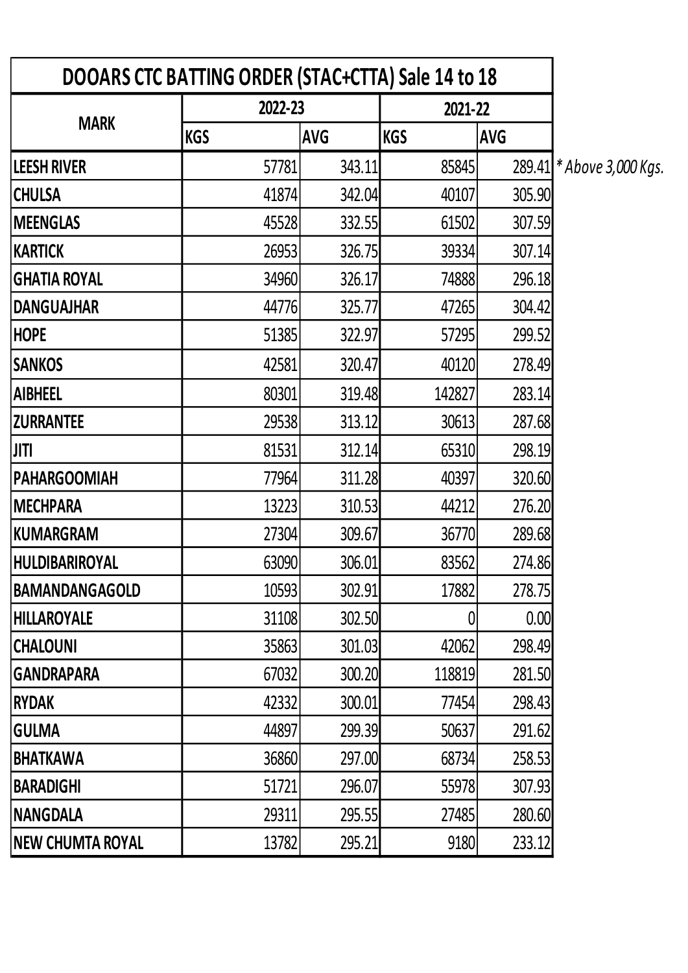| DOOARS CTC BATTING ORDER (STAC+CTTA) Sale 14 to 18 |            |            |            |            |                           |
|----------------------------------------------------|------------|------------|------------|------------|---------------------------|
|                                                    | 2022-23    |            | 2021-22    |            |                           |
| <b>MARK</b>                                        | <b>KGS</b> | <b>AVG</b> | <b>KGS</b> | <b>AVG</b> |                           |
| <b>LEESH RIVER</b>                                 | 57781      | 343.11     | 85845      |            | 289.41 * Above 3,000 Kgs. |
| <b>CHULSA</b>                                      | 41874      | 342.04     | 40107      | 305.90     |                           |
| <b>MEENGLAS</b>                                    | 45528      | 332.55     | 61502      | 307.59     |                           |
| KARTICK                                            | 26953      | 326.75     | 39334      | 307.14     |                           |
| <b>GHATIA ROYAL</b>                                | 34960      | 326.17     | 74888      | 296.18     |                           |
| <b>DANGUAJHAR</b>                                  | 44776      | 325.77     | 47265      | 304.42     |                           |
| <b>HOPE</b>                                        | 51385      | 322.97     | 57295      | 299.52     |                           |
| <b>SANKOS</b>                                      | 42581      | 320.47     | 40120      | 278.49     |                           |
| <b>AIBHEEL</b>                                     | 80301      | 319.48     | 142827     | 283.14     |                           |
| <b>ZURRANTEE</b>                                   | 29538      | 313.12     | 30613      | 287.68     |                           |
| <b>JITI</b>                                        | 81531      | 312.14     | 65310      | 298.19     |                           |
| <b>PAHARGOOMIAH</b>                                | 77964      | 311.28     | 40397      | 320.60     |                           |
| <b>MECHPARA</b>                                    | 13223      | 310.53     | 44212      | 276.20     |                           |
| KUMARGRAM                                          | 27304      | 309.67     | 36770      | 289.68     |                           |
| <b>HULDIBARIROYAL</b>                              | 63090      | 306.01     | 83562      | 274.86     |                           |
| <b>BAMANDANGAGOLD</b>                              | 10593      | 302.91     | 17882      | 278.75     |                           |
| <b>HILLAROYALE</b>                                 | 31108      | 302.50     |            | 0.00       |                           |
| <b>CHALOUNI</b>                                    | 35863      | 301.03     | 42062      | 298.49     |                           |
| <b>GANDRAPARA</b>                                  | 67032      | 300.20     | 118819     | 281.50     |                           |
| RYDAK                                              | 42332      | 300.01     | 77454      | 298.43     |                           |
| <b>GULMA</b>                                       | 44897      | 299.39     | 50637      | 291.62     |                           |
| <b>BHATKAWA</b>                                    | 36860      | 297.00     | 68734      | 258.53     |                           |
| <b>BARADIGHI</b>                                   | 51721      | 296.07     | 55978      | 307.93     |                           |
| <b>NANGDALA</b>                                    | 29311      | 295.55     | 27485      | 280.60     |                           |
| <b>NEW CHUMTA ROYAL</b>                            | 13782      | 295.21     | 9180       | 233.12     |                           |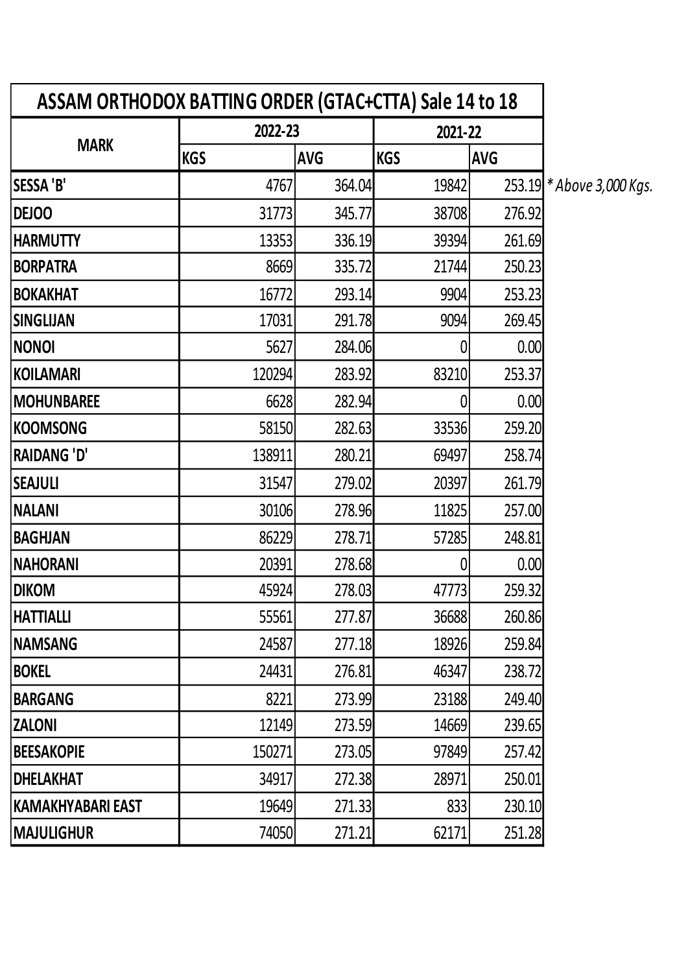| ASSAM ORTHODOX BATTING ORDER (GTAC+CTTA) Sale 14 to 18 |            |            |            |            |                           |
|--------------------------------------------------------|------------|------------|------------|------------|---------------------------|
|                                                        | 2022-23    |            | 2021-22    |            |                           |
| <b>MARK</b>                                            | <b>KGS</b> | <b>AVG</b> | <b>KGS</b> | <b>AVG</b> |                           |
| <b>SESSA 'B'</b>                                       | 4767       | 364.04     | 19842      |            | 253.19 * Above 3,000 Kgs. |
| <b>DEJOO</b>                                           | 31773      | 345.77     | 38708      | 276.92     |                           |
| <b>HARMUTTY</b>                                        | 13353      | 336.19     | 39394      | 261.69     |                           |
| <b>BORPATRA</b>                                        | 8669       | 335.72     | 21744      | 250.23     |                           |
| <b>BOKAKHAT</b>                                        | 16772      | 293.14     | 9904       | 253.23     |                           |
| <b>SINGLIJAN</b>                                       | 17031      | 291.78     | 9094       | 269.45     |                           |
| <b>NONOI</b>                                           | 5627       | 284.06     | 0          | 0.00       |                           |
| KOILAMARI                                              | 120294     | 283.92     | 83210      | 253.37     |                           |
| <b>MOHUNBAREE</b>                                      | 6628       | 282.94     |            | 0.00       |                           |
| KOOMSONG                                               | 58150      | 282.63     | 33536      | 259.20     |                           |
| <b>RAIDANG 'D'</b>                                     | 138911     | 280.21     | 69497      | 258.74     |                           |
| <b>SEAJULI</b>                                         | 31547      | 279.02     | 20397      | 261.79     |                           |
| <b>NALANI</b>                                          | 30106      | 278.96     | 11825      | 257.00     |                           |
| <b>BAGHJAN</b>                                         | 86229      | 278.71     | 57285      | 248.81     |                           |
| <b>NAHORANI</b>                                        | 20391      | 278.68     |            | 0.00       |                           |
| <b>DIKOM</b>                                           | 45924      | 278.03     | 47773      | 259.32     |                           |
| HATTIALLI                                              | 55561      | 277.87     | 36688      | 260.86     |                           |
| <b>NAMSANG</b>                                         | 24587      | 277.18     | 18926      | 259.84     |                           |
| <b>BOKEL</b>                                           | 24431      | 276.81     | 46347      | 238.72     |                           |
| <b>BARGANG</b>                                         | 8221       | 273.99     | 23188      | 249.40     |                           |
| <b>ZALONI</b>                                          | 12149      | 273.59     | 14669      | 239.65     |                           |
| <b>BEESAKOPIE</b>                                      | 150271     | 273.05     | 97849      | 257.42     |                           |
| <b>DHELAKHAT</b>                                       | 34917      | 272.38     | 28971      | 250.01     |                           |
| KAMAKHYABARI EAST                                      | 19649      | 271.33     | 833        | 230.10     |                           |
| <b>MAJULIGHUR</b>                                      | 74050      | 271.21     | 62171      | 251.28     |                           |